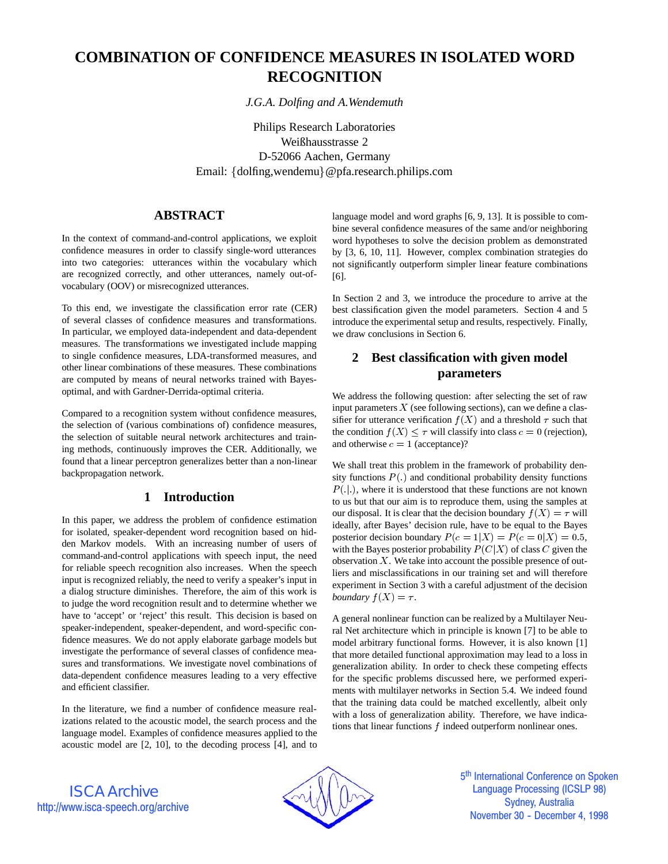# **COMBINATION OF CONFIDENCE MEASURES IN ISOLATED WORD RECOGNITION**

*J.G.A. Dolfing and A.Wendemuth*

Philips Research Laboratories Weißhausstrasse 2 D-52066 Aachen, Germany Email: {dolfing,wendemu}@pfa.research.philips.com

## **ABSTRACT**

In the context of command-and-control applications, we exploit confidence measures in order to classify single-word utterances into two categories: utterances within the vocabulary which are recognized correctly, and other utterances, namely out-ofvocabulary (OOV) or misrecognized utterances.

To this end, we investigate the classification error rate (CER) of several classes of confidence measures and transformations. In particular, we employed data-independent and data-dependent measures. The transformations we investigated include mapping to single confidence measures, LDA-transformed measures, and other linear combinations of these measures. These combinations are computed by means of neural networks trained with Bayesoptimal, and with Gardner-Derrida-optimal criteria.

Compared to a recognition system without confidence measures, the selection of (various combinations of) confidence measures, the selection of suitable neural network architectures and training methods, continuously improves the CER. Additionally, we found that a linear perceptron generalizes better than a non-linear backpropagation network.

## **1 Introduction**

In this paper, we address the problem of confidence estimation for isolated, speaker-dependent word recognition based on hidden Markov models. With an increasing number of users of command-and-control applications with speech input, the need for reliable speech recognition also increases. When the speech input is recognized reliably, the need to verify a speaker's input in a dialog structure diminishes. Therefore, the aim of this work is to judge the word recognition result and to determine whether we have to 'accept' or 'reject' this result. This decision is based on speaker-independent, speaker-dependent, and word-specific confidence measures. We do not apply elaborate garbage models but investigate the performance of several classes of confidence measures and transformations. We investigate novel combinations of data-dependent confidence measures leading to a very effective and efficient classifier.

In the literature, we find a number of confidence measure realizations related to the acoustic model, the search process and the language model. Examples of confidence measures applied to the acoustic model are [2, 10], to the decoding process [4], and to language model and word graphs [6, 9, 13]. It is possible to combine several confidence measures of the same and/or neighboring word hypotheses to solve the decision problem as demonstrated by [3, 6, 10, 11]. However, complex combination strategies do not significantly outperform simpler linear feature combinations [6].

In Section 2 and 3, we introduce the procedure to arrive at the best classification given the model parameters. Section 4 and 5 introduce the experimental setup and results, respectively. Finally, we draw conclusions in Section 6.

## **2 Best classification with given model parameters**

We address the following question: after selecting the set of raw input parameters  $X$  (see following sections), can we define a classifier for utterance verification  $f(X)$  and a threshold  $\tau$  such that the condition  $f(X) \leq \tau$  will classify into class  $c = 0$  (rejection), and otherwise  $c = 1$  (acceptance)?

We shall treat this problem in the framework of probability density functions  $P(.)$  and conditional probability density functions  $P(|.)$ , where it is understood that these functions are not known to us but that our aim is to reproduce them, using the samples at our disposal. It is clear that the decision boundary  $f(X) = \tau$  will ideally, after Bayes' decision rule, have to be equal to the Bayes posterior decision boundary  $P(c = 1|X) = P(c = 0|X) = 0.5$ , with the Bayes posterior probability  $P(C|X)$  of class C given the observation  $X$ . We take into account the possible presence of outliers and misclassifications in our training set and will therefore experiment in Section 3 with a careful adjustment of the decision *boundary*  $f(X) = \tau$ .

A general nonlinear function can be realized by a Multilayer Neural Net architecture which in principle is known [7] to be able to model arbitrary functional forms. However, it is also known [1] that more detailed functional approximation may lead to a loss in generalization ability. In order to check these competing effects for the specific problems discussed here, we performed experiments with multilayer networks in Section 5.4. We indeed found that the training data could be matched excellently, albeit only with a loss of generalization ability. Therefore, we have indications that linear functions  $f$  indeed outperform nonlinear ones.

ISCA Archive http://www.isca-speech.org/archive



5<sup>th</sup> International Conference on Spoken Language Processing (ICSLP 98) Sydney, Australia November 30 - December 4, 1998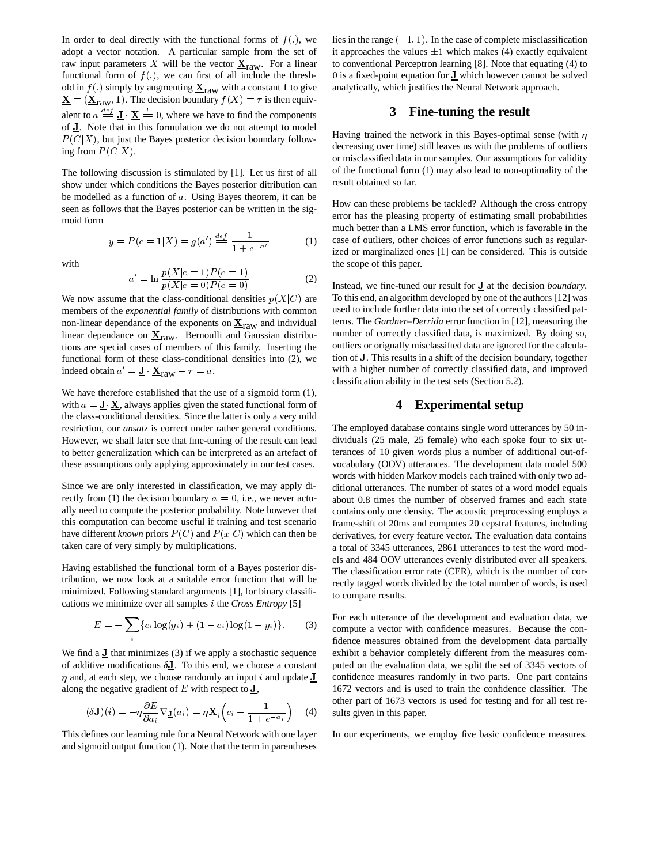In order to deal directly with the functional forms of  $f(.)$ , we adopt a vector notation. A particular sample from the set of raw input parameters X will be the vector  $\underline{\mathbf{X}}_{\text{raw}}$ . For a linear functional form of  $f(.)$ , we can first of all include the threshold in  $f(.)$  simply by augmenting  $X_{\text{raw}}$  with a constant 1 to give  $\underline{\mathbf{X}} = (\underline{\mathbf{X}}_{\text{raw}}, 1)$ . The decision boundary  $f(X) = \tau$  is then equivalent to  $a \stackrel{\text{def}}{=} \mathbf{J} \cdot \mathbf{X} = 0$ , where we have to find the components of <sup>J</sup>. Note that in this formulation we do not attempt to model  $P(C|X)$ , but just the Bayes posterior decision boundary following from  $P(C|X)$ .

The following discussion is stimulated by [1]. Let us first of all show under which conditions the Bayes posterior ditribution can be modelled as a function of <sup>a</sup>. Using Bayes theorem, it can be seen as follows that the Bayes posterior can be written in the sigmoid form

$$
y = P(c = 1|X) = g(a') \stackrel{def}{=} \frac{1}{1 + e^{-a'}} \tag{1}
$$

with

$$
a' = \ln \frac{p(X|c=1)P(c=1)}{p(X|c=0)P(c=0)}
$$
\n(2)

We now assume that the class-conditional densities  $p(X|C)$  are members of the *exponential family* of distributions with common non-linear dependance of the exponents on  $\underline{\mathbf{X}}_{\text{raw}}$  and individual linear dependance on  $\underline{\mathbf{X}}_{\text{raw}}$ . Bernoulli and Gaussian distributions are special cases of members of this family. Inserting the functional form of these class-conditional densities into (2), we indeed obtain  $a' = \underline{\mathbf{J}} \cdot \underline{\mathbf{X}}_{\text{raw}} - \tau = a$ .

We have therefore established that the use of a sigmoid form (1), with  $a = J \times$ , always applies given the stated functional form of the class-conditional densities. Since the latter is only a very mild restriction, our *ansatz* is correct under rather general conditions. However, we shall later see that fine-tuning of the result can lead to better generalization which can be interpreted as an artefact of these assumptions only applying approximately in our test cases.

Since we are only interested in classification, we may apply directly from (1) the decision boundary  $a = 0$ , i.e., we never actually need to compute the posterior probability. Note however that this computation can become useful if training and test scenario have different *known* priors  $P(C)$  and  $P(x|C)$  which can then be taken care of very simply by multiplications.

Having established the functional form of a Bayes posterior distribution, we now look at a suitable error function that will be minimized. Following standard arguments [1], for binary classifications we minimize over all samples <sup>i</sup> the *Cross Entropy* [5]

$$
E = -\sum_{i} \{c_i \log(y_i) + (1 - c_i) \log(1 - y_i)\}.
$$
 (3)

We find a  $J$  that minimizes (3) if we apply a stochastic sequence of additive modifications  $\delta J$ . To this end, we choose a constant  $\eta$  and, at each step, we choose randomly an input i and update  $J$  confide along the negative gradient of  $E$  with respect to  $J$ ,

$$
(\delta \mathbf{I})(i) = -\eta \frac{\partial E}{\partial a_i} \nabla \mathbf{I}(a_i) = \eta \mathbf{X}_i \left( c_i - \frac{1}{1 + e^{-a_i}} \right) \quad (4) \quad \text{su}
$$

This defines our learning rule for a Neural Network with one layer and sigmoid output function (1). Note that the term in parentheses

lies in the range  $(-1, 1)$ . In the case of complete misclassification it approaches the values  $\pm 1$  which makes (4) exactly equivalent to conventional Perceptron learning [8]. Note that equating (4) to 0 is a fixed-point equation for  $J$  which however cannot be solved analytically, which justifies the Neural Network approach.

#### **3 Fine-tuning the result**

Having trained the network in this Bayes-optimal sense (with  $\eta$ decreasing over time) still leaves us with the problems of outliers or misclassified data in our samples. Our assumptions for validity of the functional form (1) may also lead to non-optimality of the result obtained so far.

How can these problems be tackled? Although the cross entropy error has the pleasing property of estimating small probabilities much better than a LMS error function, which is favorable in the case of outliers, other choices of error functions such as regularized or marginalized ones [1] can be considered. This is outside the scope of this paper.

Instead, we fine-tuned our result for <sup>J</sup> at the decision *boundary*. To this end, an algorithm developed by one of the authors [12] was used to include further data into the set of correctly classified patterns. The *Gardner–Derrida* error function in [12], measuring the number of correctly classified data, is maximized. By doing so, outliers or orignally misclassified data are ignored for the calculation of <sup>J</sup>. This results in a shift of the decision boundary, together with a higher number of correctly classified data, and improved classification ability in the test sets (Section 5.2).

#### **4 Experimental setup**

The employed database contains single word utterances by 50 individuals (25 male, 25 female) who each spoke four to six utterances of 10 given words plus a number of additional out-ofvocabulary (OOV) utterances. The development data model 500 words with hidden Markov models each trained with only two additional utterances. The number of states of a word model equals about 0.8 times the number of observed frames and each state contains only one density. The acoustic preprocessing employs a frame-shift of 20ms and computes 20 cepstral features, including derivatives, for every feature vector. The evaluation data contains a total of 3345 utterances, 2861 utterances to test the word models and 484 OOV utterances evenly distributed over all speakers. The classification error rate (CER), which is the number of correctly tagged words divided by the total number of words, is used to compare results.

For each utterance of the development and evaluation data, we compute a vector with confidence measures. Because the confidence measures obtained from the development data partially exhibit a behavior completely different from the measures computed on the evaluation data, we split the set of 3345 vectors of confidence measures randomly in two parts. One part contains 1672 vectors and is used to train the confidence classifier. The other part of 1673 vectors is used for testing and for all test results given in this paper.

In our experiments, we employ five basic confidence measures.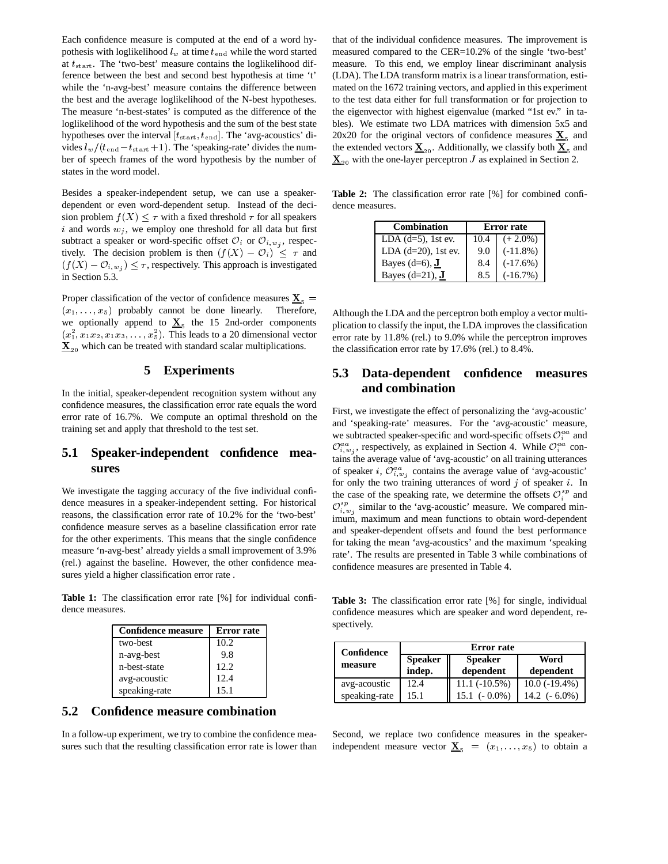Each confidence measure is computed at the end of a word hypothesis with loglikelihood  $l_w$  at time  $t_{end}$  while the word started at  $t_{start}$ . The 'two-best' measure contains the loglikelihood difference between the best and second best hypothesis at time 't' while the 'n-avg-best' measure contains the difference between the best and the average loglikelihood of the N-best hypotheses. The measure 'n-best-states' is computed as the difference of the loglikelihood of the word hypothesis and the sum of the best state hypotheses over the interval  $[t<sub>start</sub>, t<sub>end</sub>]$ . The 'avg-acoustics' divides  $l_w/(t_{\text{end}} - t_{\text{start}} + 1)$ . The 'speaking-rate' divides the number of speech frames of the word hypothesis by the number of states in the word model.

Besides a speaker-independent setup, we can use a speakerdependent or even word-dependent setup. Instead of the decision problem  $f(X) \leq \tau$  with a fixed threshold  $\tau$  for all speakers i and words  $w_j$ , we employ one threshold for all data but first subtract a speaker or word-specific offset  $\mathcal{O}_i$  or  $\mathcal{O}_{i,w_i}$ , respectively. The decision problem is then  $(f(X) - \mathcal{O}_i) \leq \tau$  and  $(f(X) - \mathcal{O}_{i,w_j}) \leq \tau$ , respectively. This approach is investigated in Section 5.3. in Section 5.3.

Proper classification of the vector of confidence measures  ${\bf X}_5$  =  $(x_1, \ldots, x_5)$  probably cannot be done linearly. Therefore, we optionally append to  $\underline{\mathbf{X}}_5$  the 15 2nd-order components  $(x_1^2, x_1x_2, x_1x_3, \ldots, x_5^2)$ . This leads to a 20 dimensional vector  $\underline{\mathbf{X}}_{20}$  which can be treated with standard scalar multiplications.

#### **5 Experiments**

In the initial, speaker-dependent recognition system without any confidence measures, the classification error rate equals the word error rate of 16.7%. We compute an optimal threshold on the training set and apply that threshold to the test set.

## **5.1 Speaker-independent confidence measures**

We investigate the tagging accuracy of the five individual confidence measures in a speaker-independent setting. For historical reasons, the classification error rate of 10.2% for the 'two-best' confidence measure serves as a baseline classification error rate for the other experiments. This means that the single confidence measure 'n-avg-best' already yields a small improvement of 3.9% (rel.) against the baseline. However, the other confidence measures yield a higher classification error rate .

**Table 1:** The classification error rate [%] for individual confidence measures.

| <b>Confidence measure</b> | <b>Error</b> rate |
|---------------------------|-------------------|
| two-best                  | 10.2              |
| n-avg-best                | 9.8               |
| n-best-state              | 12.2              |
| avg-acoustic              | 12.4              |
| speaking-rate             | 15.1              |

## **5.2 Confidence measure combination**

In a follow-up experiment, we try to combine the confidence measures such that the resulting classification error rate is lower than that of the individual confidence measures. The improvement is measured compared to the CER=10.2% of the single 'two-best' measure. To this end, we employ linear discriminant analysis (LDA). The LDA transform matrix is a linear transformation, estimated on the 1672 training vectors, and applied in this experiment to the test data either for full transformation or for projection to the eigenvector with highest eigenvalue (marked "1st ev." in tables). We estimate two LDA matrices with dimension 5x5 and 20x20 for the original vectors of confidence measures  $\mathbf{X}_5$  and the extended vectors  $\underline{\mathbf{X}}_{20}$ . Additionally, we classify both  $\underline{\mathbf{X}}_{5}$  and  $\underline{\mathbf{X}}_{20}$  with the one-layer perceptron J as explained in Section 2.

**Table 2:** The classification error rate [%] for combined confidence measures.

| <b>Combination</b>               | <b>Error</b> rate |             |
|----------------------------------|-------------------|-------------|
| LDA $(d=5)$ , 1st ev.            | 10.4              | $(+ 2.0\%)$ |
| LDA $(d=20)$ , 1st ev.           | 9.0               | $(-11.8\%)$ |
| Bayes $(d=6)$ , J                | 8.4               | $(-17.6%)$  |
| Bayes $(d=21)$ , $\underline{J}$ | 8.5               | $(-16.7%)$  |

Although the LDA and the perceptron both employ a vector multiplication to classify the input, the LDA improves the classification error rate by 11.8% (rel.) to 9.0% while the perceptron improves the classification error rate by 17.6% (rel.) to 8.4%.

## **5.3 Data-dependent confidence measures and combination**

First, we investigate the effect of personalizing the 'avg-acoustic' and 'speaking-rate' measures. For the 'avg-acoustic' measure, we subtracted speaker-specific and word-specific offsets  $\mathcal{O}_i^{aa}$  and  $\mathcal{O}_{i,w_i}^{aa}$ , respectively, as explained in Section 4. While  $\mathcal{O}_i^{aa}$  contains the average value of 'avg-acoustic' on all training utterances of speaker *i*,  $\mathcal{O}_{i,w_i}^{aa}$  contains the average value of 'avg-acoustic' for only the two training utterances of word  $j$  of speaker  $i$ . In the case of the speaking rate, we determine the offsets  $\mathcal{O}_i^{sp}$  and  $\mathcal{O}_{i,w}^{sp}$  similar to the 'avg-acoustic' measure. We compared minimum, maximum and mean functions to obtain word-dependent and speaker-dependent offsets and found the best performance for taking the mean 'avg-acoustics' and the maximum 'speaking rate'. The results are presented in Table 3 while combinations of confidence measures are presented in Table 4.

**Table 3:** The classification error rate [%] for single, individual confidence measures which are speaker and word dependent, respectively.

| Confidence    | <b>Error</b> rate |                     |                 |
|---------------|-------------------|---------------------|-----------------|
| measure       | <b>Speaker</b>    | <b>Speaker</b>      | Word            |
|               | indep.            | dependent           | dependent       |
| avg-acoustic  | 12.4              | $11.1(-10.5%)$      | $10.0(-19.4\%)$ |
| speaking-rate | 151               | $15.1$ ( $-0.0\%$ ) | 14.2 $(-6.0\%)$ |

Second, we replace two confidence measures in the speakerindependent measure vector  $\underline{\mathbf{X}}_5 = (x_1, \dots, x_5)$  to obtain a